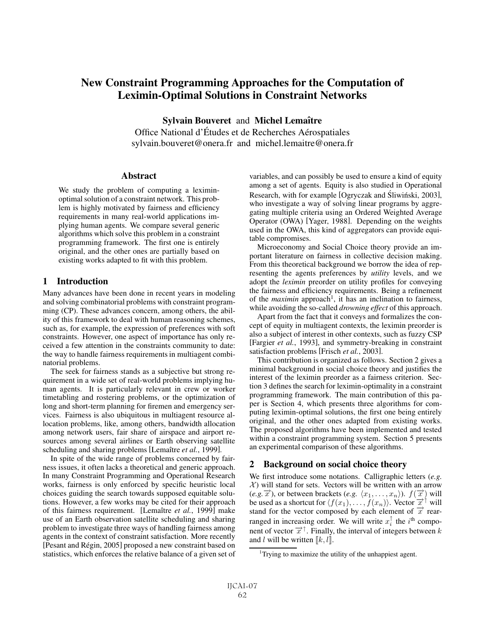# New Constraint Programming Approaches for the Computation of Leximin-Optimal Solutions in Constraint Networks

Sylvain Bouveret and Michel Lemaître

Office National d'Études et de Recherches Aérospatiales sylvain.bouveret@onera.fr and michel.lemaitre@onera.fr

## **Abstract**

We study the problem of computing a leximinoptimal solution of a constraint network. This problem is highly motivated by fairness and efficiency requirements in many real-world applications implying human agents. We compare several generic algorithms which solve this problem in a constraint programming framework. The first one is entirely original, and the other ones are partially based on existing works adapted to fit with this problem.

# 1 Introduction

Many advances have been done in recent years in modeling and solving combinatorial problems with constraint programming (CP). These advances concern, among others, the ability of this framework to deal with human reasoning schemes, such as, for example, the expression of preferences with soft constraints. However, one aspect of importance has only received a few attention in the constraints community to date: the way to handle fairness requirements in multiagent combinatorial problems.

The seek for fairness stands as a subjective but strong requirement in a wide set of real-world problems implying human agents. It is particularly relevant in crew or worker timetabling and rostering problems, or the optimization of long and short-term planning for firemen and emergency services. Fairness is also ubiquitous in multiagent resource allocation problems, like, among others, bandwidth allocation among network users, fair share of airspace and airport resources among several airlines or Earth observing satellite scheduling and sharing problems [Lemaître *et al.*, 1999].

In spite of the wide range of problems concerned by fairness issues, it often lacks a theoretical and generic approach. In many Constraint Programming and Operational Research works, fairness is only enforced by specific heuristic local choices guiding the search towards supposed equitable solutions. However, a few works may be cited for their approach of this fairness requirement. [Lemaître et al., 1999] make use of an Earth observation satellite scheduling and sharing problem to investigate three ways of handling fairness among agents in the context of constraint satisfaction. More recently [Pesant and Régin, 2005] proposed a new constraint based on statistics, which enforces the relative balance of a given set of

variables, and can possibly be used to ensure a kind of equity among a set of agents. Equity is also studied in Operational Research, with for example [Ogryczak and Śliwiński, 2003], who investigate a way of solving linear programs by aggregating multiple criteria using an Ordered Weighted Average Operator (OWA) [Yager, 1988]. Depending on the weights used in the OWA, this kind of aggregators can provide equitable compromises.

Microeconomy and Social Choice theory provide an important literature on fairness in collective decision making. From this theoretical background we borrow the idea of representing the agents preferences by *utility* levels, and we adopt the *leximin* preorder on utility profiles for conveying the fairness and efficiency requirements. Being a refinement of the *maximin* approach<sup>1</sup>, it has an inclination to fairness, while avoiding the so-called *drowning effect* of this approach.

Apart from the fact that it conveys and formalizes the concept of equity in multiagent contexts, the leximin preorder is also a subject of interest in other contexts, such as fuzzy CSP [Fargier *et al.*, 1993], and symmetry-breaking in constraint satisfaction problems [Frisch *et al.*, 2003].

This contribution is organized as follows. Section 2 gives a minimal background in social choice theory and justifies the interest of the leximin preorder as a fairness criterion. Section 3 defines the search for leximin-optimality in a constraint programming framework. The main contribution of this paper is Section 4, which presents three algorithms for computing leximin-optimal solutions, the first one being entirely original, and the other ones adapted from existing works. The proposed algorithms have been implemented and tested within a constraint programming system. Section 5 presents an experimental comparison of these algorithms.

# 2 Background on social choice theory

We first introduce some notations. Calligraphic letters (*e.g.*  $X$ ) will stand for sets. Vectors will be written with an arrow (*e.g.* $\overrightarrow{x}$ ), or between brackets (*e.g.*  $\langle x_1, \ldots, x_n \rangle$ ).  $f(\overrightarrow{x})$  will<br>be used as a shortcut for  $\langle f(x_1), \ldots, f(x_n) \rangle$ . Vector  $\overrightarrow{x}^{\uparrow}$  will be used as a shortcut for  $\langle f(x_1),\ldots,f(x_n)\rangle$ . Vector  $\overrightarrow{x}^{\uparrow}$  will stand for the vector composed by each element of  $\vec{x}$  rearranged in increasing order. We will write  $x_i^{\uparrow}$  the *i*<sup>th</sup> component of vector  $\vec{x}^{\uparrow}$ . Finally, the interval of integers between *k* nent of vector  $\vec{x}^{\uparrow}$ . Finally, the interval of integers between k and  $l$  will be written  $\llbracket k,l \rrbracket$ .

<sup>&</sup>lt;sup>1</sup>Trying to maximize the utility of the unhappiest agent.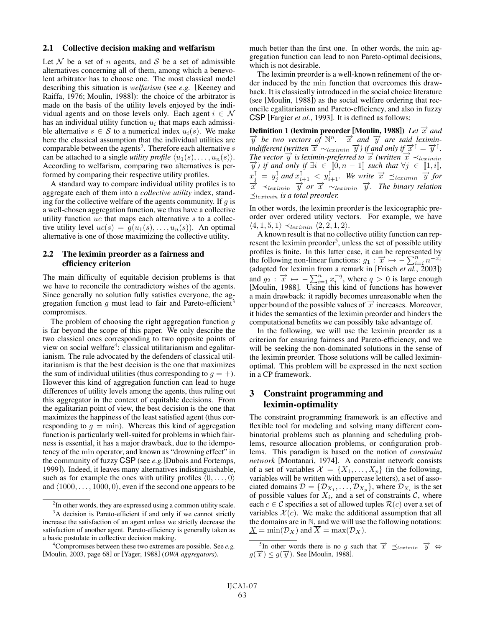## 2.1 Collective decision making and welfarism

Let  $N$  be a set of n agents, and S be a set of admissible alternatives concerning all of them, among which a benevolent arbitrator has to choose one. The most classical model describing this situation is *welfarism* (see *e.g.* [Keeney and Raiffa, 1976; Moulin, 1988]): the choice of the arbitrator is made on the basis of the utility levels enjoyed by the individual agents and on those levels only. Each agent  $i \in \mathcal{N}$ has an individual utility function  $u_i$  that maps each admissible alternative  $s \in S$  to a numerical index  $u_i(s)$ . We make here the classical assumption that the individual utilities are comparable between the agents<sup>2</sup>. Therefore each alternative  $s$ can be attached to a single *utility profile*  $\langle u_1(s), \ldots, u_n(s) \rangle$ . According to welfarism, comparing two alternatives is performed by comparing their respective utility profiles.

A standard way to compare individual utility profiles is to aggregate each of them into a *collective utility* index, standing for the collective welfare of the agents community. If  $q$  is a well-chosen aggregation function, we thus have a collective utility function  $uc$  that maps each alternative  $s$  to a collective utility level  $uc(s) = q(u_1(s), \ldots, u_n(s))$ . An optimal alternative is one of those maximizing the collective utility.

## 2.2 The leximin preorder as a fairness and efficiency criterion

The main difficulty of equitable decision problems is that we have to reconcile the contradictory wishes of the agents. Since generally no solution fully satisfies everyone, the aggregation function  $q$  must lead to fair and Pareto-efficient<sup>3</sup> compromises.

The problem of choosing the right aggregation function  $g$ is far beyond the scope of this paper. We only describe the two classical ones corresponding to two opposite points of view on social welfare<sup>4</sup>: classical utilitarianism and egalitarianism. The rule advocated by the defenders of classical utilitarianism is that the best decision is the one that maximizes the sum of individual utilities (thus corresponding to  $q = +$ ). However this kind of aggregation function can lead to huge differences of utility levels among the agents, thus ruling out this aggregator in the context of equitable decisions. From the egalitarian point of view, the best decision is the one that maximizes the happiness of the least satisfied agent (thus corresponding to  $q = \min$ ). Whereas this kind of aggregation function is particularly well-suited for problems in which fairness is essential, it has a major drawback, due to the idempotency of the min operator, and known as "drowning effect" in the community of fuzzy CSP (see *e.g.*[Dubois and Fortemps, 1999]). Indeed, it leaves many alternatives indistinguishable, such as for example the ones with utility profiles  $(0,\ldots, 0)$ and  $\langle 1000, \ldots, 1000, 0 \rangle$ , even if the second one appears to be much better than the first one. In other words, the min aggregation function can lead to non Pareto-optimal decisions, which is not desirable.

The leximin preorder is a well-known refinement of the order induced by the min function that overcomes this drawback. It is classically introduced in the social choice literature (see [Moulin, 1988]) as the social welfare ordering that reconcile egalitarianism and Pareto-efficiency, and also in fuzzy CSP [Fargier *et al.*, 1993]. It is defined as follows:

Definition 1 (leximin preorder [Moulin, 1988]) *Let*  $\vec{x}$  *and*  $\overrightarrow{y}$  be two vectors of  $\mathbb{N}^n$ .  $\overrightarrow{x}$  and  $\overrightarrow{y}$  are said leximin*indifferent (written*  $\overrightarrow{x} \sim_{leximin} \overrightarrow{y}$ *) if and only if*  $\overrightarrow{x}^{\uparrow} = \overrightarrow{y}^{\uparrow}$ *. The vector*  $\overrightarrow{y}$  *is leximin-preferred to*  $\overrightarrow{x}$  *(written*  $\overrightarrow{x} \prec_{leximin}$  $\overrightarrow{y}$  *)* if and only if  $\exists i \in [0, n-1]$  such that  $\forall j \in [1, i]$ ,<br>  $\overrightarrow{y} = x^{\uparrow}$  and  $\overrightarrow{x} = x^{\uparrow}$  **We write**  $\overrightarrow{x} = x^{\uparrow}$  for  $x_j^{\dagger} = y_j^{\dagger}$  and  $x_{i+1}^{\dagger} < y_{i+1}^{\dagger}$ . We write  $\vec{x} \preceq_{leximin} \vec{y}$  for  $\overrightarrow{x}$   $\prec$ leximin  $\overrightarrow{y}$  or  $\overrightarrow{x}$   $\sim$ leximin  $\overrightarrow{y}$ . The binary relation  $\preceq$ <sub>leximin</sub> is a total preorder.

In other words, the leximin preorder is the lexicographic preorder over ordered utility vectors. For example, we have  $\langle 4, 1, 5, 1 \rangle \prec_{leximin} \langle 2, 2, 1, 2 \rangle.$ 

A known result is that no collective utility function can represent the leximin preorder<sup>5</sup>, unless the set of possible utility profiles is finite. In this latter case, it can be represented by the following non-linear functions:  $g_1 : \overrightarrow{x} \mapsto -\sum_{i=1}^n n^{-x_i}$ <br>(adapted for leximin from a remark in [Frisch *et al* -2003]) (adapted for leximin from a remark in [Frisch *et al.*, 2003]) and  $g_2$ :  $\overrightarrow{x} \mapsto -\sum_{i=1}^n x_i^{-q}$ , where  $q > 0$  is large enough [Moulin, 1988]. Using this kind of functions has however a main drawback: it rapidly becomes unreasonable when the upper bound of the possible values of  $\vec{x}$  increases. Moreover, it hides the semantics of the leximin preorder and hinders the computational benefits we can possibly take advantage of.

In the following, we will use the leximin preorder as a criterion for ensuring fairness and Pareto-efficiency, and we will be seeking the non-dominated solutions in the sense of the leximin preorder. Those solutions will be called leximinoptimal. This problem will be expressed in the next section in a CP framework.

# 3 Constraint programming and leximin-optimality

The constraint programming framework is an effective and flexible tool for modeling and solving many different combinatorial problems such as planning and scheduling problems, resource allocation problems, or configuration problems. This paradigm is based on the notion of *constraint network* [Montanari, 1974]. A constraint network consists of a set of variables  $\mathcal{X} = \{X_1, \ldots, X_p\}$  (in the following, variables will be written with uppercase letters), a set of associated domains  $\mathcal{D} = \{\mathcal{D}_{X_1}, \dots, \mathcal{D}_{X_p}\}\$ , where  $\mathcal{D}_{X_i}$  is the set of possible values for  $X_i$ , and a set of constraints  $\mathcal{C}$ , where each  $c \in \mathcal{C}$  specifies a set of allowed tuples  $\mathcal{R}(c)$  over a set of variables  $\mathcal{X}(c)$ . We make the additional assumption that all the domains are in  $\mathbb N$ , and we will use the following notations:  $\underline{X} = \min(\mathcal{D}_X)$  and  $\overline{X} = \max(\mathcal{D}_X)$ .

 $2$ In other words, they are expressed using a common utility scale. <sup>3</sup>A decision is Pareto-efficient if and only if we cannot strictly increase the satisfaction of an agent unless we strictly decrease the satisfaction of another agent. Pareto-efficiency is generally taken as a basic postulate in collective decision making.

<sup>4</sup> Compromises between these two extremes are possible. See *e.g.* [Moulin, 2003, page 68] or [Yager, 1988] (*OWA aggregators*).

<sup>&</sup>lt;sup>5</sup>In other words there is no g such that  $\vec{x}$   $\preceq_{leximin} \vec{y}$   $\Leftrightarrow$   $\vec{F}$   $\geq a(\vec{x})$  See [Moulin 1988]  $g(\overrightarrow{x}) \leq g(\overrightarrow{y})$ . See [Moulin, 1988].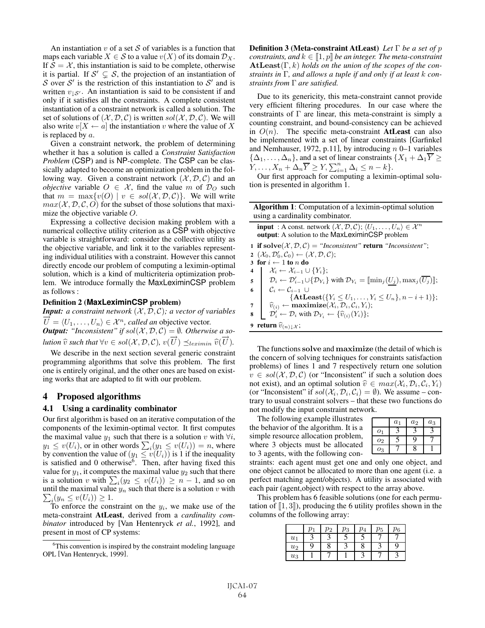An instantiation  $v$  of a set  $S$  of variables is a function that maps each variable  $X \in \mathcal{S}$  to a value  $v(X)$  of its domain  $\mathcal{D}_X$ . If  $S = \mathcal{X}$ , this instantiation is said to be complete, otherwise it is partial. If  $S' \subsetneq S$ , the projection of an instantiation of S over S' is the restriction of this instantiation to S' and is written  $v_{\downarrow}S$ . An instantiation is said to be consistent if and only if it satisfies all the constraints. A complete consistent only if it satisfies all the constraints. A complete consistent instantiation of a constraint network is called a solution. The set of solutions of  $(X, \mathcal{D}, \mathcal{C})$  is written  $sol(X, \mathcal{D}, \mathcal{C})$ . We will also write  $v[X \leftarrow a]$  the instantiation v where the value of X is replaced by  $a$ .

Given a constraint network, the problem of determining whether it has a solution is called a *Constraint Satisfaction Problem* (CSP) and is NP-complete. The CSP can be classically adapted to become an optimization problem in the following way. Given a constraint network  $(\mathcal{X}, \mathcal{D}, \mathcal{C})$  and an *objective* variable  $O \in \mathcal{X}$ , find the value m of  $\mathcal{D}_O$  such that  $m = \max\{v(O) \mid v \in sol(X, \mathcal{D}, \mathcal{C})\}$ . We will write  $max(X, D, C, O)$  for the subset of those solutions that maximize the objective variable O.

Expressing a collective decision making problem with a numerical collective utility criterion as a CSP with objective variable is straightforward: consider the collective utility as the objective variable, and link it to the variables representing individual utilities with a constraint. However this cannot directly encode our problem of computing a leximin-optimal solution, which is a kind of multicriteria optimization problem. We introduce formally the MaxLeximinCSP problem as follows :

#### Definition 2 (**MaxLeximinCSP** problem)

*Input: a constraint network*  $(X, D, C)$ *; a vector of variables*  $U = \langle U_1, \ldots, U_n \rangle \in \mathcal{X}^n$ , called an objective vector.<br>**Output:** "Inconsistent" if sol(X, D, C) = 0. Otherwi *Output:*  $"$ *Inconsistent"* if  $sol(X, \mathcal{D}, \mathcal{C}) = \emptyset$ . Otherwise a so-<br>  $disj(\overrightarrow{x})$ ,  $\overrightarrow{a}(\overrightarrow{x})$ ,  $\overrightarrow{a}(\overrightarrow{x})$ *lution*  $\hat{v}$  *such that*  $\forall v \in sol(X, \mathcal{D}, \mathcal{C})$ ,  $v(\overrightarrow{U}) \preceq_{leximin} \hat{v}(\overrightarrow{V})$ <br>  $\forall v$ , describe in the next exting expansion experiences  $\overrightarrow{U}$ ).<br> $\overrightarrow{U}$ 

We describe in the next section several generic constraint programming algorithms that solve this problem. The first one is entirely original, and the other ones are based on existing works that are adapted to fit with our problem.

## 4 Proposed algorithms

#### 4.1 Using a cardinality combinator

Our first algorithm is based on an iterative computation of the components of the leximin-optimal vector. It first computes the maximal value  $y_1$  such that there is a solution v with  $\forall i$ ,  $y_1 \leq v(U_i)$ , or in other words  $\sum_i (y_1 \leq v(U_i)) = n$ , where<br>by convention the value of  $(y_1 \leq v(U_i))$  is 1 if the inequality by convention the value of  $(y_1 \le v(U_i))$  is 1 if the inequality is satisfied and 0 otherwise<sup>6</sup>. Then, after having fixed this value for  $y_1$ , it computes the maximal value  $y_2$  such that there is a solution v with  $\sum_i (y_2 \le v(U_i)) \ge n - 1$ , and so on<br>until the maximal value  $y_r$  such that there is a solution v with until the maximal value  $y_n$  such that there is a solution v with  $\sum_{i=1}^n (y_n \leq y(U_i)) > 1$  $\sum_i (y_n \leq v(U_i)) \geq 1.$  To enforce the con-

To enforce the constraint on the  $y_i$ , we make use of the meta-constraint AtLeast, derived from a *cardinality combinator* introduced by [Van Hentenryck *et al.*, 1992], and present in most of CP systems:

Definition 3 (Meta-constraint AtLeast) *Let* Γ *be a set of* p *constraints, and*  $k \in [1, p]$  *be an integer. The meta-constraint*  $\mathbf{AtLeast}(\Gamma, k)$  holds on the union of the scopes of the con-**AtLeast**(Γ, k) *holds on the union of the scopes of the constraints in* Γ*, and allows a tuple if and only if at least* k *constraints from* Γ *are satisfied.*

Due to its genericity, this meta-constraint cannot provide very efficient filtering procedures. In our case where the constraints of  $\Gamma$  are linear, this meta-constraint is simply a counting constraint, and bound-consistency can be achieved in  $O(n)$ . The specific meta-constraint **AtLeast** can also be implemented with a set of linear constraints [Garfinkel and Nemhauser, 1972, p.11], by introducing  $n$  0–1 variables  $\{\Delta_1,\ldots,\Delta_n\}$ , and a set of linear constraints  $\{X_1 + \Delta_1\overline{Y}\geq$  $Y_1, \ldots, X_n + \Delta_n \overline{Y} \ge Y, \sum_{i=1}^n \Delta_i \le n - k$ .<br>Our first approach for computing a leximi

Our first approach for computing a leximin-optimal solution is presented in algorithm 1.

| <b>Algorithm 1:</b> Computation of a leximin-optimal solution |
|---------------------------------------------------------------|
| using a cardinality combinator.                               |

|   | <b>input</b> : A const. network $(\mathcal{X}, \mathcal{D}, \mathcal{C})$ ; $\langle U_1, \ldots, U_n \rangle \in \mathcal{X}^n$<br>output: A solution to the MaxLeximinCSP problem                                                                                                                                     |
|---|-------------------------------------------------------------------------------------------------------------------------------------------------------------------------------------------------------------------------------------------------------------------------------------------------------------------------|
|   | 1 if solve $(X, \mathcal{D}, \mathcal{C}) =$ "Inconsistent" return "Inconsistent";                                                                                                                                                                                                                                      |
|   | 2 $(\mathcal{X}_0, \mathcal{D}'_0, \mathcal{C}_0) \leftarrow (\mathcal{X}, \mathcal{D}, \mathcal{C});$                                                                                                                                                                                                                  |
|   | 3 for $i \leftarrow 1$ to n do                                                                                                                                                                                                                                                                                          |
|   |                                                                                                                                                                                                                                                                                                                         |
|   | $\begin{array}{ll} \textbf{4} & \left\{ & \mathcal{X}_i \leftarrow \mathcal{X}_{i-1} \cup \{Y_i\}; \\ & \mathcal{D}_i \leftarrow \mathcal{D}_{i-1}' \cup \{\mathcal{D}_{Y_i}\} \text{ with } \mathcal{D}_{Y_i} = \llbracket \min_j(\underbar{U_j}), \max_j(\overline{U_j}) \rrbracket; \end{array} \right. \end{array}$ |
|   | 6 $\mathcal{C}_i \leftarrow \mathcal{C}_{i-1}$ U                                                                                                                                                                                                                                                                        |
|   | $\{AtLeast(\{Y_i \leq U_1,\ldots,Y_i \leq U_n\},n-i+1)\};$                                                                                                                                                                                                                                                              |
|   | 7<br>$\widehat{v}_{(i)} \leftarrow \text{maximize}(\mathcal{X}_i, \mathcal{D}_i, \mathcal{C}_i, Y_i);$                                                                                                                                                                                                                  |
| 8 | $\mathcal{D}'_i \leftarrow \mathcal{D}_i$ with $\mathcal{D}_{Y_i} \leftarrow {\hat{v}_{(i)}(Y_i)}$ ;                                                                                                                                                                                                                    |
|   | 9 return $\widehat{v}_{(n)\downarrow\mathcal{X}}$ ;                                                                                                                                                                                                                                                                     |
|   |                                                                                                                                                                                                                                                                                                                         |

The functions **solve** and **maximize** (the detail of which is the concern of solving techniques for constraints satisfaction problems) of lines 1 and 7 respectively return one solution  $v \in sol(X, \mathcal{D}, \mathcal{C})$  (or "Inconsistent" if such a solution does not exist), and an optimal solution  $\hat{v} \in max(\mathcal{X}_i, \mathcal{D}_i, \mathcal{C}_i, Y_i)$ (or "Inconsistent" if  $sol(X_i, \mathcal{D}_i, \mathcal{C}_i) = \emptyset$ ). We assume – contrary to usual constraint solvers – that these two functions do not modify the input constraint network.

The following example illustrates the behavior of the algorithm. It is a simple resource allocation problem, where 3 objects must be allocated to 3 agents, with the following con-

|                | $a_1$ | $a_2$ | $a_3$ |
|----------------|-------|-------|-------|
| 01             |       |       |       |
| O <sub>2</sub> |       | በ     |       |
| 03             |       |       |       |
|                |       |       |       |

straints: each agent must get one and only one object, and one object cannot be allocated to more than one agent (i.e. a perfect matching agent/objects). A utility is associated with each pair (agent,object) with respect to the array above.

This problem has 6 feasible solutions (one for each permutation of  $\llbracket 1, 3 \rrbracket$ ), producing the 6 utility profiles shown in the columns of the following array: columns of the following array:

|       | $p_1$ | $p_2$ | $p_3$ | $\overline{p}_4$ | $p_5$ | $p_6$ |
|-------|-------|-------|-------|------------------|-------|-------|
| $u_1$ |       |       |       | L                |       |       |
| $u_2$ | q     |       |       | 8                |       |       |
| $u_3$ |       |       |       | ◠                |       |       |
|       |       |       |       |                  |       |       |

<sup>&</sup>lt;sup>6</sup>This convention is inspired by the constraint modeling language OPL [Van Hentenryck, 1999].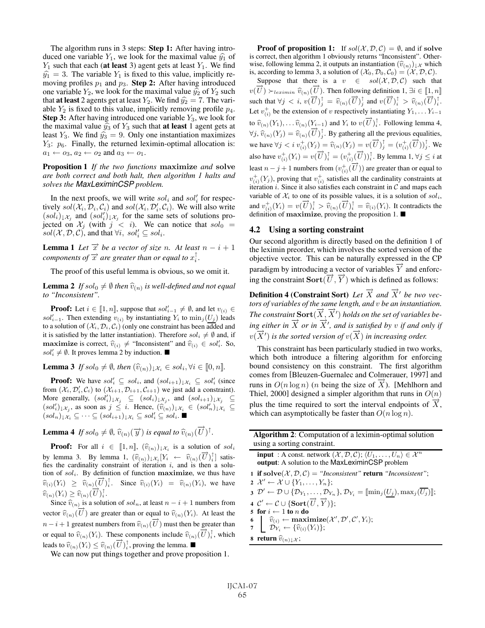The algorithm runs in 3 steps: Step 1: After having introduced one variable  $Y_1$ , we look for the maximal value  $\hat{y_1}$  of  $Y_1$  such that each (at least 3) agent gets at least  $Y_1$ . We find  $\hat{y}_1 = 3$ . The variable  $Y_1$  is fixed to this value, implicitly removing profiles  $p_1$  and  $p_3$ . Step 2: After having introduced one variable  $Y_2$ , we look for the maximal value  $\hat{y}_2$  of  $Y_2$  such that **at least** 2 agents get at least  $Y_2$ . We find  $\hat{y}_2 = 7$ . The variable  $Y_2$  is fixed to this value, implicitly removing profile  $p_4$ . **Step 3:** After having introduced one variable  $Y_3$ , we look for the maximal value  $\hat{y}_3$  of  $Y_3$  such that **at least** 1 agent gets at least  $Y_3$ . We find  $\hat{y}_3 = 9$ . Only one instantiation maximizes  $Y_3$ :  $p_6$ . Finally, the returned leximin-optimal allocation is:  $a_1 \leftarrow o_3, a_2 \leftarrow o_2$  and  $a_3 \leftarrow o_1$ .

Proposition 1 *If the two functions* **maximize** *and* **solve** *are both correct and both halt, then algorithm 1 halts and solves the MaxLeximinCSP problem.*

In the next proofs, we will write  $sol_i$  and  $sol'_i$  for respec-<br>ely  $sol(\mathcal{X}; \mathcal{D}; \mathcal{C}_i)$  and  $sol(\mathcal{X}; \mathcal{D}', \mathcal{C}_i)$ . We will also write tively  $sol(X_i, \mathcal{D}_i, \mathcal{C}_i)$  and  $sol(X_i, \mathcal{D}'_i, \mathcal{C}_i)$ . We will also write  $(sol<sub>i</sub>)_{\downarrow}x_j$  and  $(sol'<sub>i</sub>)_{\downarrow}x_j$  for the same sets of solutions pro-<br>iected on X<sub>i</sub> (with  $i < i$ ) We can notice that solo jected on  $\mathcal{X}_j$  (with  $j < i$ ). We can notice that  $sol_i = sol(\mathcal{X} \mathcal{D} \mathcal{L})$  and that  $\forall i$ , sol:  $sol(X, \mathcal{D}, \mathcal{C})$ , and that  $\forall i, sol'_i \subseteq sol_i$ .

**Lemma 1** *Let*  $\vec{x}$  *be a vector of size n.* At least  $n - i + 1$ *components of*  $\vec{x}$  *are greater than or equal to*  $x_i^{\uparrow}$ *.* 

The proof of this useful lemma is obvious, so we omit it.

**Lemma 2** *If* sol<sub>0</sub>  $\neq$   $\emptyset$  *then*  $\widehat{v}_{(n)}$  *is well-defined and not equal to "Inconsistent".*

**Proof:** Let  $i \in [\![1,n]\!]$ , suppose that  $sol'_{i-1} \neq \emptyset$ , and let  $v_{(i)} \in$ <br>  $l'$  Then extending  $v_{(i)}$  by instantiating V, to min ( $lL$ ) leads sol $l'_{i-1}$ . Then extending  $v_{(i)}$  by instantiating  $Y_i$  to  $\min_j(U_j)$  leads<br>to a solution of  $(X, \mathcal{D}, C)$  (only one constraint has been added and to a solution of  $(\mathcal{X}_i, \mathcal{D}_i, \mathcal{C}_i)$  (only one constraint has been added and it is satisfied by the latter instantiation). Therefore  $\mathit{sol}_i \neq \emptyset$  and, if **maximize** is correct,  $\hat{v}_{(i)} \neq$  "Inconsistent" and  $\hat{v}_{(i)} \in sol'_i$ . So,  $sol'_{\ell} \neq \emptyset$ . It proves lemma 2 by induction  $sol'_i \neq \emptyset$ . It proves lemma 2 by induction.

**Lemma 3** If sol<sub>0</sub>  $\neq \emptyset$ , then  $(\widehat{v}_{(n)})_{\downarrow} \mathcal{X}_i \in sol_i, \forall i \in [0, n]$ .

**Proof:** We have  $sol'_i \subseteq sol_i$ , and  $(sol_{i+1})_{\downarrow} x_i \subseteq sol'_i$  (since  $m(\mathcal{X}, \mathcal{D}', \mathcal{C})$  to  $(\mathcal{X}_{i+1}, \mathcal{D}_{i+2}, \mathcal{C}_{i+3})$  we just add a constraint) from  $(\mathcal{X}_i, \mathcal{D}'_i, \mathcal{C}_i)$  to  $(\mathcal{X}_{i+1}, \mathcal{D}_{i+1}, \mathcal{C}_{i+1})$  we just add a constraint). More generally,  $(sol'_i)_{\downarrow}x_j \subseteq (sol_i)_{\downarrow}x_j$ , and  $(sol_{i+1})_{\downarrow}x_j \subseteq (sol'_i)_{\downarrow}x_j \subseteq (sol'_i)_{\downarrow}x_j \subseteq (sol'_i)_{\downarrow}x_j$  $(\text{sol}'_i)_{\downarrow} x_j$ , as soon as  $j \leq i$ . Hence,  $(\widehat{v}_{(n)})_{\downarrow} x_i \in (\text{sol}'_n)_{\downarrow} x_i \subseteq$  $(\mathit{sol}_n)_{\downarrow} x_i \subseteq \cdots \subseteq (\mathit{sol}_{i+1})_{\downarrow} x_i \subseteq \mathit{sol}'_i \subseteq \mathit{sol}_i.$ 

**Lemma 4** If sol<sub>0</sub>  $\neq \emptyset$ ,  $\widehat{v}_{(n)}(\overrightarrow{y})$  is equal to  $\widehat{v}_{(n)}(\overrightarrow{U})^{\uparrow}$ .

**Proof:** For all  $i \in [\![1, n]\!]$ ,  $(\widehat{v}_{(n)})_{\downarrow}$  is a solution of sol<sub>i</sub> by lemma 3. By lemma 1,  $(\hat{v}_{(n)})_{\downarrow} x_i [Y_i \leftarrow \hat{v}_{(n)}(\vec{U})_i^{\dagger}]$  satis-<br>fies the cardinality constraint of iteration *i* and is then a solufies the cardinality constraint of iteration i, and is then a solution of solve By definition of function maximize we thus have tion of  $sol_i$ . By definition of function **maximize**, we thus have  $\hat{v}_{(i)}(Y_i) \geq \hat{v}_{(n)}(\vec{U})_i^{\dagger}$ . Since  $\hat{v}_{(i)}(Y_i) = \hat{v}_{(n)}(Y_i)$ , we have  $\widehat{v}_{(n)}(Y_i) \geq \widehat{v}_{(n)}(\overrightarrow{U})_i^{\dagger}.$ 

Since  $\widehat{v}_{(n)}$  is a solution of soln, at least  $n - i + 1$  numbers from vector  $\widehat{v}_{(n)}(\overrightarrow{U})$  are greater than or equal to  $\widehat{v}_{(n)}(Y_i)$ . At least the  $n - i + 1$  greatest numbers from  $\widehat{v}_{(n)}(\overrightarrow{U})$  must then be greater than or equal to  $\widehat{v}_{(n)}(Y_i)$ . These components include  $\widehat{v}_{(n)}(\overrightarrow{U})^{\dagger}_i$ , which leads to  $\widehat{v}_{(n)}(Y_i) \leq \widehat{v}_{(n)}(\overrightarrow{U})_i^{\dagger}$ , proving the lemma.

We can now put things together and prove proposition 1.

**Proof of proposition 1:** If  $sol(X, \mathcal{D}, \mathcal{C}) = \emptyset$ , and if solve is correct, then algorithm 1 obviously returns "Inconsistent". Otherwise, following lemma 2, it outputs an instantiation  $(\widehat{v}_{(n)})_{\downarrow\mathcal{X}}$  which is, according to lemma 3, a solution of  $(\mathcal{X}_0, \mathcal{D}_0, \mathcal{C}_0)=(\mathcal{X}, \mathcal{D}, \mathcal{C})$ .

Suppose that there is a  $v \in sol(X, \mathcal{D}, \mathcal{C})$  such that  $v(\vec{U}) \succ_{leximin} \hat{v}_{(n)}(\vec{U})$ . Then following definition 1,  $\exists i \in [\![1,n]\!]$ such that  $\forall j < i$ ,  $v(\overrightarrow{U})_j^{\dagger} = \hat{v}_{(n)}(\overrightarrow{U})_j^{\dagger}$  and  $v(\overrightarrow{U})_i^{\dagger} > \hat{v}_{(n)}(\overrightarrow{U})_i^{\dagger}$ . Let  $v_{(i)}^+$  be the extension of v respectively instantiating  $Y_1, \ldots Y_{i-1}$ to  $\widehat{v}_{(n)}(Y_1), \dots \widehat{v}_{(n)}(Y_{i-1})$  and  $Y_i$  to  $v(\overrightarrow{U})_i^{\dagger}$ . Following lemma 4,  $\forall j$ ,  $\widehat{v}_{(n)}(Y_j) = \widehat{v}_{(n)}(\overrightarrow{U})^{\dagger}_j$ . By gathering all the previous equalities, we have  $\forall j < i$   $v_{(i)}^+(Y_j) = \hat{v}_{(n)}(Y_j) = v(\vec{U})^\dagger_j = (v_{(i)}^+(\vec{U}))^\dagger_j$ . We also have  $v_{(i)}^+(Y_i) = v(\overrightarrow{U})_i^{\dagger} = (v_{(i)}^+(\overrightarrow{U}))_i^{\dagger}$ . By lemma 1,  $\forall j \leq i$  at least  $n - j + 1$  numbers from  $(v_{(i)}^+ (\overrightarrow{U}))$  are greater than or equal to  $v_{(i)}^{+}(Y_j)$ , proving that  $v_{(i)}^{+}$  satisfies all the cardinality constraints at iteration *i*. Since it also satisfies each constraint in *C* and mans each iteration *i*. Since it also satisfies each constraint in  $C$  and maps each variable of  $\mathcal{X}_i$  to one of its possible values, it is a solution of  $\mathfrak{sol}_i$ , and  $v_{(i)}^+(Y_i) = v(\overrightarrow{U})_i^{\dagger} > \hat{v}_{(n)}(\overrightarrow{U})_i^{\dagger} = \hat{v}_{(i)}(Y_i)$ . It contradicts the definition of maximize proving the proposition 1 definition of **maximize**, proving the proposition  $1$ .

## 4.2 Using a sorting constraint

Our second algorithm is directly based on the definition 1 of the leximin preorder, which involves the sorted version of the objective vector. This can be naturally expressed in the CP paradigm by introducing a vector of variables  $\overline{Y}$  and enforcing the constraint  $\textbf{Sort}(\overrightarrow{U}, \overrightarrow{Y})$  which is defined as follows:

**Definition 4 (Constraint Sort)** Let  $\overrightarrow{X}$  and  $\overrightarrow{X}'$  be two vec*tors of variables of the same length, and* v *be an instantiation. The constraint*  $\textbf{Sort}(\overrightarrow{X}, \overrightarrow{X}')$  holds on the set of variables be-<br>  $\overrightarrow{X}$  is a side of  $\overrightarrow{X}$  on the set of variables be*ing either in*  $\overline{X}$  *or in*  $\overline{X}'$ , and is satisfied by v *if and only if*  $\overline{X}'$  *is the sented version of*  $\overline{X}$  *is in increasing order*  $(\overline{X}')$  is the sorted version of  $v(\overline{X})$  in increasing order.

 $\overline{\phantom{a}}$ This constraint has been particularly studied in two works, which both introduce a filtering algorithm for enforcing bound consistency on this constraint. The first algorithm comes from [Bleuzen-Guernalec and Colmerauer, 1997] and runs in  $O(n \log n)$  (*n* being the size of X). [Mehlhorn and Thiel, 2000] designed a simpler algorithm that runs in  $O(n)$ plus the time required to sort the interval endpoints of  $\overrightarrow{X}$ , which can asymptotically be faster than  $O(n \log n)$ .

| <b>Algorithm 2:</b> Computation of a leximin-optimal solution |
|---------------------------------------------------------------|
| using a sorting constraint.                                   |

**input** : A const. network  $(\mathcal{X}, \mathcal{D}, \mathcal{C})$ ;  $\langle U_1, \ldots, U_n \rangle \in \mathcal{X}^n$ output: A solution to the MaxLeximinCSP problem 1 if  $\text{solve}(\mathcal{X}, \mathcal{D}, \mathcal{C}) = \text{``Inconsistent''}$  return "Inconsistent"; 2  $\mathcal{X}' \leftarrow \mathcal{X} \cup \{Y_1, \ldots, Y_n\};$ <br>2  $\mathcal{D}' \leftarrow \mathcal{D} \cup \{D\}$ 3  $\mathcal{D}' \leftarrow \mathcal{D} \cup \{ \mathcal{D}_{Y_1}, \ldots, \mathcal{D}_{Y_n} \}, \mathcal{D}_{Y_i} = [\min_j(\underbrace{U_j}) , \max_j(\overline{U_j}) ]$ ; 4  $\mathcal{C}' \leftarrow \mathcal{C} \cup \{ \text{Sort}(\overrightarrow{U}, \overrightarrow{Y}) \};$ <br>5 for  $i \leftarrow 1$  to *n* do 5 for  $i \leftarrow 1$  to *n* do<br>6  $\overbrace{\mathcal{D}_{Y_i}}^{\widehat{v}_{(i)}} \leftarrow \text{maximize}(\mathcal{X}', \mathcal{D}', \mathcal{C}', Y_i);$ <br>7  $\overbrace{\mathcal{D}_{Y_i}}^{\widehat{v}_{(i)}} \leftarrow {\{\widehat{v}_{(i)}(Y_i)\};$ 8 return  $\widehat{v}_{(n)|\mathcal{X}}$ ;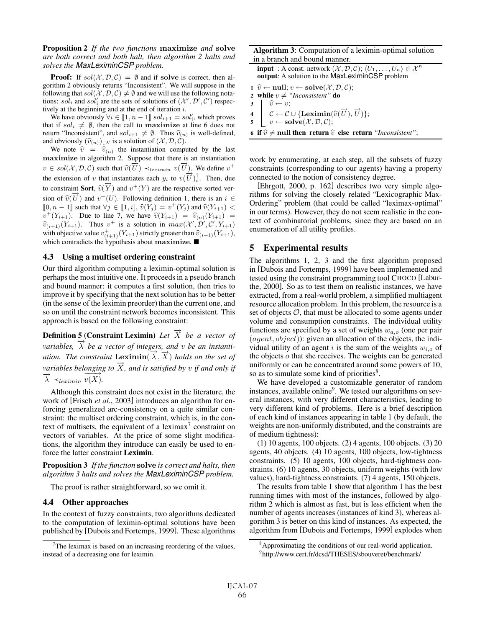Proposition 2 *If the two functions* **maximize** *and* **solve** *are both correct and both halt, then algorithm 2 halts and solves the MaxLeximinCSP problem.*

**Proof:** If  $sol(X, \mathcal{D}, \mathcal{C}) = \emptyset$  and if solve is correct, then algorithm 2 obviously returns "Inconsistent". We will suppose in the following that  $sol(X, \mathcal{D}, \mathcal{C}) \neq \emptyset$  and we will use the following notations:  $sol_i$  and  $sol'_i$  are the sets of solutions of  $(\mathcal{X}', \mathcal{D}', \mathcal{C}')$  respectively at the beginning and at the end of iteration i tively at the beginning and at the end of iteration  $i$ .

We have obviously  $\forall i \in [\![1, n-1]\!]$  sol<sub>i+1</sub> = sol'<sub>i</sub>, which proves t if sol:  $\neq \emptyset$  then the call to **maximize** at line 6 does not that if  $\text{sol}_i \neq \emptyset$ , then the call to **maximize** at line 6 does not return "Inconsistent", and  $sol_{i+1} \neq \emptyset$ . Thus  $\widehat{v}_{(n)}$  is well-defined, and obviously  $(\widehat{v}_{(n)})_{\downarrow} \chi$  is a solution of  $(\mathcal{X}, \mathcal{D}, \mathcal{C})$ .

We note  $\hat{v} = \hat{v}_{(n)}$  the instantiation computed by the last **maximize** in algorithm 2. Suppose that there is an instantiation v ∈ sol( $X, D, C$ ) such that  $\widehat{v}(\overrightarrow{U}) \prec_{leximin} v(\overrightarrow{U})$ . We define  $v^+$ the extension of v that instantiates each  $y_i$  to  $v(\vec{U})^{\dagger}$ . Then, due to constraint Sort,  $\widehat{v}(\overrightarrow{Y})$  and  $v^+(Y)$  are the respective sorted ver-<br> $\widehat{z}(\overrightarrow{Y})$  and  $v^+(Y)$ . Enlarging definition 1, there is an i.  $\widehat{z}$ sion of  $\hat{v}(\vec{U})$  and  $v^+(U)$ . Following definition 1, there is an  $i \in$ <br>  $\mathbb{I} \cap n - 1\mathbb{I}$  such that  $\forall i \in \mathbb{I}$   $i\mathbb{I}$   $\hat{v}(V_i) - v^+(V_i)$  and  $\hat{v}(V_{i+1}) \leq$  $[0, n-1]$  such that  $\forall j \in [1, i]$ ,  $\hat{v}(Y_j) = v^+(Y_j)$  and  $\hat{v}(Y_{i+1})   
v^+(Y_{i+1})$ . Due to line 7, we have  $\hat{v}(Y_{i+1}) = \hat{v}_{i+1}(Y_{i+1})$ .  $v^+(Y_{i+1})$ . Due to line 7, we have  $\hat{v}(Y_{i+1}) = \hat{v}_{(n)}(Y_{i+1}) =$  $\hat{v}_{(i+1)}(Y_{i+1})$ . Thus  $v^+$  is a solution in  $max(X', \mathcal{D}', \mathcal{C}', Y_{i+1})$ <br>with objective value  $v^+$  (V<sub>inter</sub>) strictly greater than  $\hat{v}_{(i+1)}(Y_{i+1})$ with objective value  $v_{(i+1)}^+(Y_{i+1})$  strictly greater than  $\hat{v}_{(i+1)}(Y_{i+1})$ , which contradicts the hypothesis about **maximize**.

#### 4.3 Using a multiset ordering constraint

Our third algorithm computing a leximin-optimal solution is perhaps the most intuitive one. It proceeds in a pseudo branch and bound manner: it computes a first solution, then tries to improve it by specifying that the next solution has to be better (in the sense of the leximin preorder) than the current one, and so on until the constraint network becomes inconsistent. This approach is based on the following constraint:

**Definition 5 (Constraint Leximin)** *Let*  $\overrightarrow{X}$  *be a vector of variables,*  $\overrightarrow{\lambda}$  *be a vector of integers, and v be an instantiation. The constraint* **Leximin** $(\vec{\lambda}, \vec{X})$  *holds on the set of variables belonging to*  $\overrightarrow{X}$ *, and is satisfied by v if and only if*  $\overrightarrow{\lambda} \prec_{leximin} \overrightarrow{v(X)}.$ 

Although this constraint does not exist in the literature, the work of [Frisch *et al.*, 2003] introduces an algorithm for enforcing generalized arc-consistency on a quite similar constraint: the multiset ordering constraint, which is, in the context of multisets, the equivalent of a leximax<sup>7</sup> constraint on vectors of variables. At the price of some slight modifications, the algorithm they introduce can easily be used to enforce the latter constraint Leximin.

Proposition 3 *If the function* **solve** *is correct and halts, then algorithm 3 halts and solves the MaxLeximinCSP problem.*

The proof is rather straightforward, so we omit it.

### 4.4 Other approaches

In the context of fuzzy constraints, two algorithms dedicated to the computation of leximin-optimal solutions have been published by [Dubois and Fortemps, 1999]. These algorithms

| <b>Algorithm 3:</b> Computation of a leximin-optimal solution                                                                                                                                                                                                                                                                                                                                                                             |
|-------------------------------------------------------------------------------------------------------------------------------------------------------------------------------------------------------------------------------------------------------------------------------------------------------------------------------------------------------------------------------------------------------------------------------------------|
| in a branch and bound manner.                                                                                                                                                                                                                                                                                                                                                                                                             |
| <b>input</b> : A const. network $(\mathcal{X}, \mathcal{D}, \mathcal{C})$ ; $\langle U_1, \ldots, U_n \rangle \in \mathcal{X}^n$<br>output: A solution to the MaxLeximinCSP problem                                                                                                                                                                                                                                                       |
| 1 $\hat{v} \leftarrow \text{null}; v \leftarrow \text{solve}(\mathcal{X}, \mathcal{D}, \mathcal{C});$                                                                                                                                                                                                                                                                                                                                     |
| 2 while $v \neq$ "Inconsistent" do                                                                                                                                                                                                                                                                                                                                                                                                        |
|                                                                                                                                                                                                                                                                                                                                                                                                                                           |
|                                                                                                                                                                                                                                                                                                                                                                                                                                           |
| $\begin{array}{c} \textbf{3} \\ \textbf{4} \\ \textbf{5} \\ \textbf{6} \\ \textbf{7} \\ \textbf{8} \\ \textbf{9} \\ \textbf{10} \\ \textbf{11} \\ \textbf{12} \\ \textbf{13} \\ \textbf{14} \\ \textbf{15} \\ \textbf{16} \\ \textbf{17} \\ \textbf{18} \\ \textbf{19} \\ \textbf{10} \\ \textbf{10} \\ \textbf{11} \\ \textbf{12} \\ \textbf{13} \\ \textbf{16} \\ \textbf{18} \\ \textbf{19} \\ \textbf{10} \\ \textbf{10} \\ \textbf{$ |
| 6 if $\hat{v} \neq$ null then return $\hat{v}$ else return "Inconsistent";                                                                                                                                                                                                                                                                                                                                                                |

work by enumerating, at each step, all the subsets of fuzzy constraints (corresponding to our agents) having a property connected to the notion of consistency degree.

[Ehrgott, 2000, p. 162] describes two very simple algorithms for solving the closely related "Lexicographic Max-Ordering" problem (that could be called "leximax-optimal" in our terms). However, they do not seem realistic in the context of combinatorial problems, since they are based on an enumeration of all utility profiles.

### 5 Experimental results

The algorithms 1, 2, 3 and the first algorithm proposed in [Dubois and Fortemps, 1999] have been implemented and tested using the constraint programming tool CHOCO [Laburthe, 2000]. So as to test them on realistic instances, we have extracted, from a real-world problem, a simplified multiagent resource allocation problem. In this problem, the resource is a set of objects  $O$ , that must be allocated to some agents under volume and consumption constraints. The individual utility functions are specified by a set of weights  $w_{a,q}$  (one per pair  $(agent, object)$ : given an allocation of the objects, the individual utility of an agent i is the sum of the weights  $w_{i,o}$  of the objects  $o$  that she receives. The weights can be generated uniformly or can be concentrated around some powers of 10, so as to simulate some kind of priorities<sup>8</sup>.

We have developed a customizable generator of random instances, available online<sup>9</sup>. We tested our algorithms on several instances, with very different characteristics, leading to very different kind of problems. Here is a brief description of each kind of instances appearing in table 1 (by default, the weights are non-uniformly distributed, and the constraints are of medium tightness):

(1) 10 agents, 100 objects. (2) 4 agents, 100 objects. (3) 20 agents, 40 objects. (4) 10 agents, 100 objects, low-tightness constraints. (5) 10 agents, 100 objects, hard-tightness constraints. (6) 10 agents, 30 objects, uniform weights (with low values), hard-tightness constraints. (7) 4 agents, 150 objects.

The results from table 1 show that algorithm 1 has the best running times with most of the instances, followed by algorithm 2 which is almost as fast, but is less efficient when the number of agents increases (instances of kind 3), whereas algorithm 3 is better on this kind of instances. As expected, the algorithm from [Dubois and Fortemps, 1999] explodes when

 $7$ The leximax is based on an increasing reordering of the values, instead of a decreasing one for leximin.

<sup>&</sup>lt;sup>8</sup> Approximating the conditions of our real-world application.

<sup>9</sup> http://www.cert.fr/dcsd/THESES/sbouveret/benchmark/